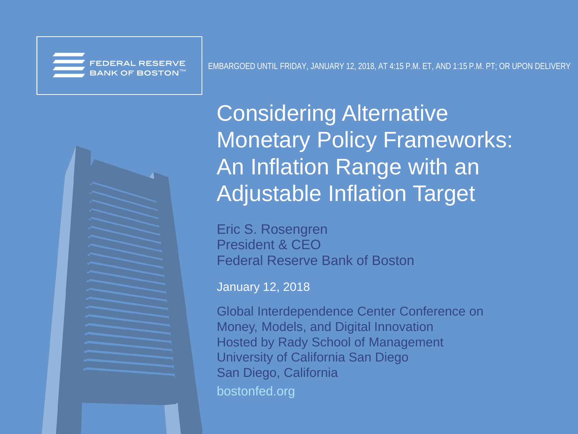BANK OF BOSTON  $^{\mathrm{H}}$ 



Considering Alternative Monetary Policy Frameworks: An Inflation Range with an Adjustable Inflation Target

Eric S. Rosengren President & CEO Federal Reserve Bank of Boston

January 12, 2018

bostonfed.org Global Interdependence Center Conference on Money, Models, and Digital Innovation Hosted by Rady School of Management University of California San Diego San Diego, California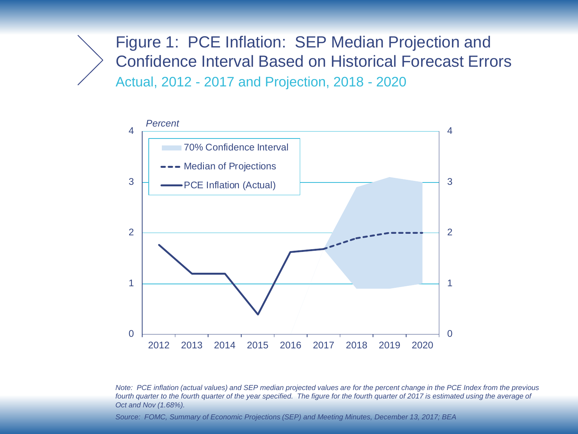Figure 1: PCE Inflation: SEP Median Projection and Confidence Interval Based on Historical Forecast Errors Actual, 2012 - 2017 and Projection, 2018 - 2020



*Note: PCE inflation (actual values) and SEP median projected values are for the percent change in the PCE Index from the previous*  fourth quarter to the fourth quarter of the year specified. The figure for the fourth quarter of 2017 is estimated using the average of *Oct and Nov (1.68%).*

*Source: FOMC, Summary of Economic Projections (SEP) and Meeting Minutes, December 13, 2017; BEA*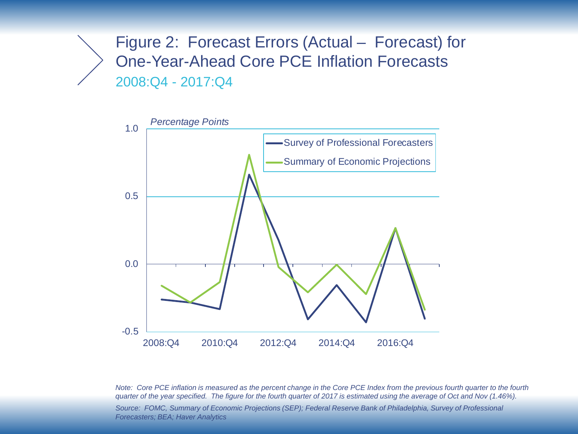## Figure 2: Forecast Errors (Actual – Forecast) for One-Year-Ahead Core PCE Inflation Forecasts 2008:Q4 - 2017:Q4



*Note: Core PCE inflation is measured as the percent change in the Core PCE Index from the previous fourth quarter to the fourth quarter of the year specified. The figure for the fourth quarter of 2017 is estimated using the average of Oct and Nov (1.46%). Source: FOMC, Summary of Economic Projections (SEP); Federal Reserve Bank of Philadelphia, Survey of Professional Forecasters; BEA; Haver Analytics*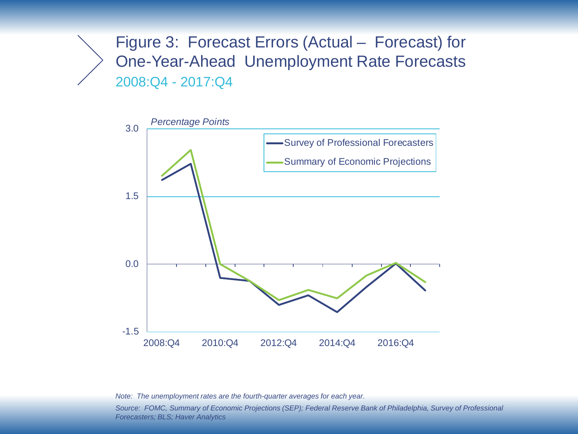Figure 3: Forecast Errors (Actual – Forecast) for One-Year-Ahead Unemployment Rate Forecasts 2008:Q4 - 2017:Q4



*Note: The unemployment rates are the fourth-quarter averages for each year.*

*Source: FOMC, Summary of Economic Projections (SEP); Federal Reserve Bank of Philadelphia, Survey of Professional Forecasters; BLS; Haver Analytics*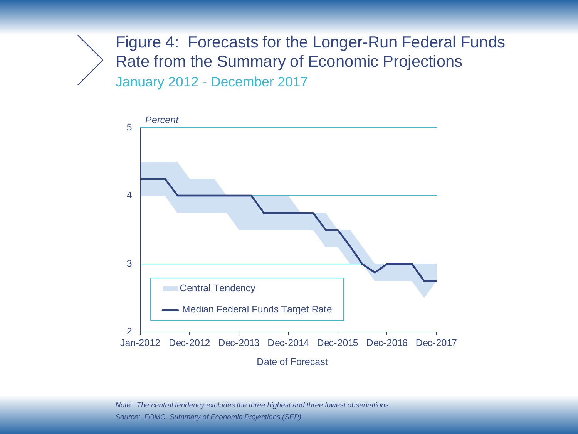Figure 4: Forecasts for the Longer-Run Federal Funds Rate from the Summary of Economic Projections January 2012 - December 2017



*Note: The central tendency excludes the three highest and three lowest observations. Source: FOMC, Summary of Economic Projections (SEP)*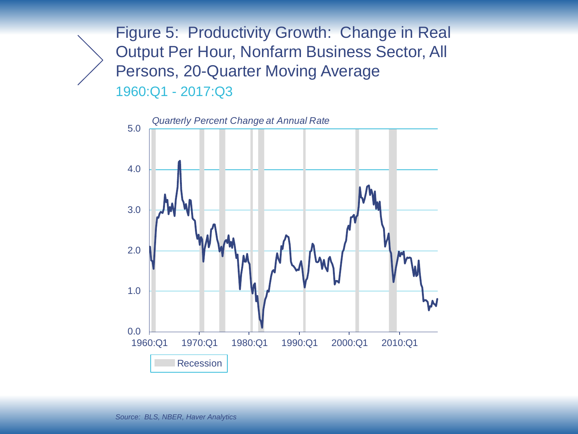Figure 5: Productivity Growth: Change in Real Output Per Hour, Nonfarm Business Sector, All Persons, 20-Quarter Moving Average 1960:Q1 - 2017:Q3



*Source: BLS, NBER, Haver Analytics*